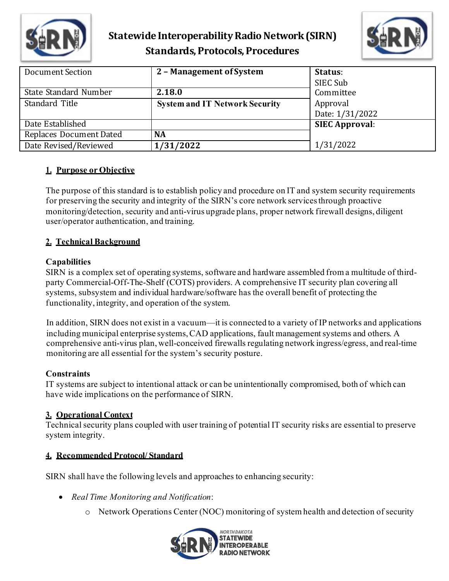

# **Statewide Interoperability Radio Network(SIRN) Standards, Protocols, Procedures**



| Document Section               | 2 - Management of System              | Status:<br>SIEC Sub   |
|--------------------------------|---------------------------------------|-----------------------|
| State Standard Number          | 2.18.0                                | Committee             |
| Standard Title                 | <b>System and IT Network Security</b> | Approval              |
|                                |                                       | Date: 1/31/2022       |
| Date Established               |                                       | <b>SIEC Approval:</b> |
| <b>Replaces Document Dated</b> | <b>NA</b>                             |                       |
| Date Revised/Reviewed          | 1/31/2022                             | 1/31/2022             |

## **1. Purpose or Objective**

The purpose of this standard is to establish policy and procedure on IT and system security requirements for preserving the security and integrity of the SIRN's core network services through proactive monitoring/detection, security and anti-virus upgrade plans, proper network firewall designs, diligent user/operator authentication, and training.

## **2. Technical Background**

## **Capabilities**

SIRN is a complex set of operating systems, software and hardware assembled from a multitude of thirdparty Commercial-Off-The-Shelf (COTS) providers. A comprehensive IT security plan covering all systems, subsystem and individual hardware/software has the overall benefit of protecting the functionality, integrity, and operation of the system.

In addition, SIRN does not exist in a vacuum—it is connected to a variety of IP networks and applications including municipal enterprise systems, CAD applications, fault management systems and others. A comprehensive anti-virus plan, well-conceived firewalls regulating network ingress/egress, and real-time monitoring are all essential for the system's security posture.

## **Constraints**

IT systems are subject to intentional attack or can be unintentionally compromised, both of which can have wide implications on the performance of SIRN.

## **3. Operational Context**

Technical security plans coupled with user training of potential IT security risks are essential to preserve system integrity.

#### **4. Recommended Protocol/ Standard**

SIRN shall have the following levels and approaches to enhancing security:

- *Real Time Monitoring and Notification*:
	- o Network Operations Center (NOC) monitoring of system health and detection of security

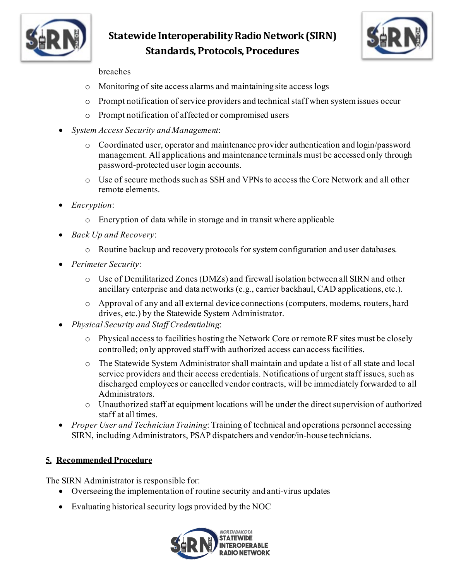

# **Statewide Interoperability Radio Network(SIRN) Standards, Protocols, Procedures**



#### breaches

- o Monitoring of site access alarms and maintaining site access logs
- o Prompt notification of service providers and technical staff when system issues occur
- o Prompt notification of affected or compromised users
- *System Access Security and Management*:
	- o Coordinated user, operator and maintenance provider authentication and login/password management. All applications and maintenance terminals must be accessed only through password-protected user login accounts.
	- o Use of secure methods such as SSH and VPNs to access the Core Network and all other remote elements.
- *Encryption*:
	- o Encryption of data while in storage and in transit where applicable
- *Back Up and Recovery*:
	- o Routine backup and recovery protocols for system configuration and user databases.
- *Perimeter Security*:
	- o Use of Demilitarized Zones (DMZs) and firewall isolation between all SIRN and other ancillary enterprise and data networks (e.g., carrier backhaul, CAD applications, etc.).
	- o Approval of any and all external device connections (computers, modems, routers, hard drives, etc.) by the Statewide System Administrator.
- *Physical Security and Staff Credentialing*:
	- o Physical access to facilities hosting the Network Core or remote RF sites must be closely controlled; only approved staff with authorized access can access facilities.
	- o The Statewide System Administrator shall maintain and update a list of all state and local service providers and their access credentials. Notifications of urgent staff issues, such as discharged employees or cancelled vendor contracts, will be immediately forwarded to all Administrators.
	- o Unauthorized staff at equipment locations will be under the direct supervision of authorized staff at all times.
- *Proper User and Technician Training*: Training of technical and operations personnel accessing SIRN, including Administrators, PSAP dispatchers and vendor/in-house technicians.

## **5. Recommended Procedure**

The SIRN Administrator is responsible for:

- Overseeing the implementation of routine security and anti-virus updates
- Evaluating historical security logs provided by the NOC